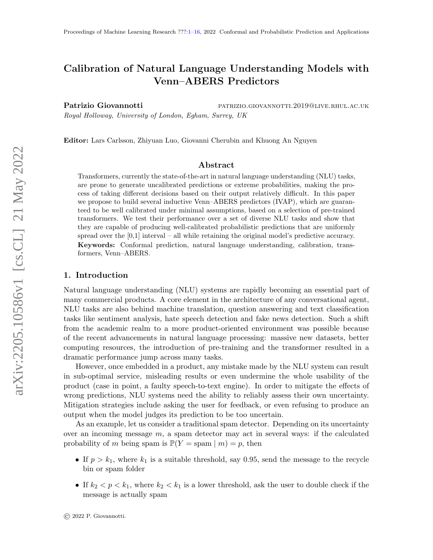# <span id="page-0-0"></span>Calibration of Natural Language Understanding Models with Venn–ABERS Predictors

Patrizio Giovannotti **patrizio.giovannotti** patrizio.giovannotti.2019@live.rhul.ac.uk Royal Holloway, University of London, Egham, Surrey, UK

Editor: Lars Carlsson, Zhiyuan Luo, Giovanni Cherubin and Khuong An Nguyen

#### Abstract

Transformers, currently the state-of-the-art in natural language understanding (NLU) tasks, are prone to generate uncalibrated predictions or extreme probabilities, making the process of taking different decisions based on their output relatively difficult. In this paper we propose to build several inductive Venn–ABERS predictors (IVAP), which are guaranteed to be well calibrated under minimal assumptions, based on a selection of pre-trained transformers. We test their performance over a set of diverse NLU tasks and show that they are capable of producing well-calibrated probabilistic predictions that are uniformly spread over the  $[0,1]$  interval – all while retaining the original model's predictive accuracy. Keywords: Conformal prediction, natural language understanding, calibration, transformers, Venn–ABERS.

#### 1. Introduction

Natural language understanding (NLU) systems are rapidly becoming an essential part of many commercial products. A core element in the architecture of any conversational agent, NLU tasks are also behind machine translation, question answering and text classification tasks like sentiment analysis, hate speech detection and fake news detection. Such a shift from the academic realm to a more product-oriented environment was possible because of the recent advancements in natural language processing: massive new datasets, better computing resources, the introduction of pre-training and the transformer resulted in a dramatic performance jump across many tasks.

However, once embedded in a product, any mistake made by the NLU system can result in sub-optimal service, misleading results or even undermine the whole usability of the product (case in point, a faulty speech-to-text engine). In order to mitigate the effects of wrong predictions, NLU systems need the ability to reliably assess their own uncertainty. Mitigation strategies include asking the user for feedback, or even refusing to produce an output when the model judges its prediction to be too uncertain.

As an example, let us consider a traditional spam detector. Depending on its uncertainty over an incoming message  $m$ , a spam detector may act in several ways: if the calculated probability of m being spam is  $\mathbb{P}(Y = \text{spam} \mid m) = p$ , then

- If  $p > k_1$ , where  $k_1$  is a suitable threshold, say 0.95, send the message to the recycle bin or spam folder
- If  $k_2 < p < k_1$ , where  $k_2 < k_1$  is a lower threshold, ask the user to double check if the message is actually spam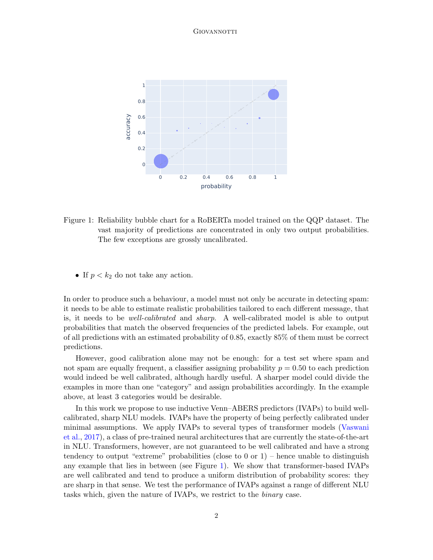

<span id="page-1-0"></span>Figure 1: Reliability bubble chart for a RoBERTa model trained on the QQP dataset. The vast majority of predictions are concentrated in only two output probabilities. The few exceptions are grossly uncalibrated.

• If  $p < k_2$  do not take any action.

In order to produce such a behaviour, a model must not only be accurate in detecting spam: it needs to be able to estimate realistic probabilities tailored to each different message, that is, it needs to be well-calibrated and sharp. A well-calibrated model is able to output probabilities that match the observed frequencies of the predicted labels. For example, out of all predictions with an estimated probability of 0.85, exactly 85% of them must be correct predictions.

However, good calibration alone may not be enough: for a test set where spam and not spam are equally frequent, a classifier assigning probability  $p = 0.50$  to each prediction would indeed be well calibrated, although hardly useful. A sharper model could divide the examples in more than one "category" and assign probabilities accordingly. In the example above, at least 3 categories would be desirable.

In this work we propose to use inductive Venn–ABERS predictors (IVAPs) to build wellcalibrated, sharp NLU models. IVAPs have the property of being perfectly calibrated under minimal assumptions. We apply IVAPs to several types of transformer models [\(Vaswani](#page-14-0) [et al.,](#page-14-0) [2017\)](#page-14-0), a class of pre-trained neural architectures that are currently the state-of-the-art in NLU. Transformers, however, are not guaranteed to be well calibrated and have a strong tendency to output "extreme" probabilities (close to 0 or 1) – hence unable to distinguish any example that lies in between (see Figure [1\)](#page-1-0). We show that transformer-based IVAPs are well calibrated and tend to produce a uniform distribution of probability scores: they are sharp in that sense. We test the performance of IVAPs against a range of different NLU tasks which, given the nature of IVAPs, we restrict to the binary case.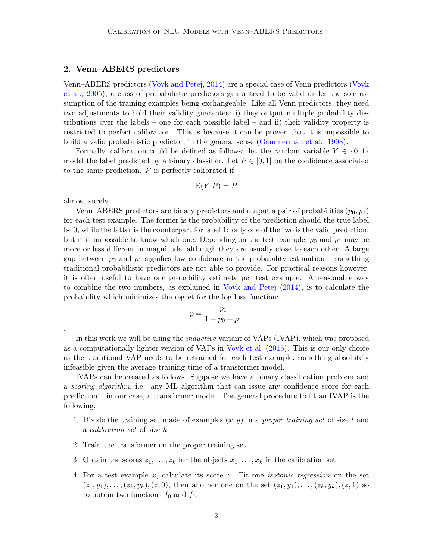#### 2. Venn–ABERS predictors

Venn–ABERS predictors [\(Vovk and Petej,](#page-15-1) [2014\)](#page-15-1) are a special case of Venn predictors [\(Vovk](#page-15-2) [et al.,](#page-15-2) [2005\)](#page-15-2), a class of probabilistic predictors guaranteed to be valid under the sole assumption of the training examples being exchangeable. Like all Venn predictors, they need two adjustments to hold their validity guarantee: i) they output multiple probability distributions over the labels – one for each possible label – and ii) their validity property is restricted to perfect calibration. This is because it can be proven that it is impossible to build a valid probabilistic predictor, in the general sense [\(Gammerman et al.,](#page-12-0) [1998\)](#page-12-0).

Formally, calibration could be defined as follows: let the random variable  $Y \in \{0,1\}$ model the label predicted by a binary classifier. Let  $P \in [0, 1]$  be the confidence associated to the same prediction.  $P$  is perfectly calibrated if

$$
\mathbb{E}(Y|P) = P
$$

almost surely.

.

Venn–ABERS predictors are binary predictors and output a pair of probabilities  $(p_0, p_1)$ for each test example. The former is the probability of the prediction should the true label be 0, while the latter is the counterpart for label 1: only one of the two is the valid prediction, but it is impossible to know which one. Depending on the test example,  $p_0$  and  $p_1$  may be more or less different in magnitude, although they are usually close to each other. A large gap between  $p_0$  and  $p_1$  signifies low confidence in the probability estimation – something traditional probabilistic predictors are not able to provide. For practical reasons however, it is often useful to have one probability estimate per test example. A reasonable way to combine the two numbers, as explained in [Vovk and Petej](#page-15-1) [\(2014\)](#page-15-1), is to calculate the probability which minimizes the regret for the log loss function:

$$
p = \frac{p_1}{1 - p_0 + p_1}
$$

In this work we will be using the inductive variant of VAPs (IVAP), which was proposed as a computationally lighter version of VAPs in [Vovk et al.](#page-15-3) [\(2015\)](#page-15-3). This is our only choice as the traditional VAP needs to be retrained for each test example, something absolutely infeasible given the average training time of a transformer model.

IVAPs can be created as follows. Suppose we have a binary classification problem and a *scoring algorithm*, i.e. any ML algorithm that can issue any confidence score for each prediction – in our case, a transformer model. The general procedure to fit an IVAP is the following:

- 1. Divide the training set made of examples  $(x, y)$  in a proper training set of size l and a calibration set of size k
- 2. Train the transformer on the proper training set
- 3. Obtain the scores  $z_1, \ldots, z_k$  for the objects  $x_1, \ldots, x_k$  in the calibration set
- 4. For a test example x, calculate its score z. Fit one isotonic regression on the set  $(z_1, y_1), \ldots, (z_k, y_k), (z, 0)$ , then another one on the set  $(z_1, y_1), \ldots, (z_k, y_k), (z, 1)$  so to obtain two functions  $f_0$  and  $f_1$ .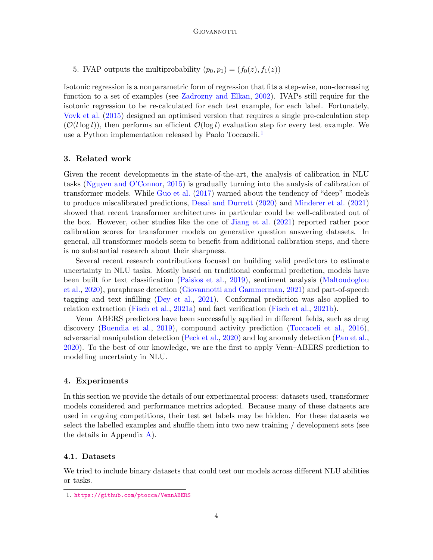5. IVAP outputs the multiprobability  $(p_0, p_1) = (f_0(z), f_1(z))$ 

Isotonic regression is a nonparametric form of regression that fits a step-wise, non-decreasing function to a set of examples (see [Zadrozny and Elkan,](#page-15-4) [2002\)](#page-15-4). IVAPs still require for the isotonic regression to be re-calculated for each test example, for each label. Fortunately, [Vovk et al.](#page-15-3) [\(2015\)](#page-15-3) designed an optimised version that requires a single pre-calculation step  $(\mathcal{O}(l \log l))$ , then performs an efficient  $\mathcal{O}(\log l)$  evaluation step for every test example. We use a Python implementation released by Paolo Toccaceli.<sup>[1](#page-3-0)</sup>

## 3. Related work

Given the recent developments in the state-of-the-art, the analysis of calibration in NLU tasks [\(Nguyen and O'Connor,](#page-14-1) [2015\)](#page-14-1) is gradually turning into the analysis of calibration of transformer models. While [Guo et al.](#page-13-0) [\(2017\)](#page-13-0) warned about the tendency of "deep" models to produce miscalibrated predictions, [Desai and Durrett](#page-12-1) [\(2020\)](#page-12-1) and [Minderer et al.](#page-14-2) [\(2021\)](#page-14-2) showed that recent transformer architectures in particular could be well-calibrated out of the box. However, other studies like the one of [Jiang et al.](#page-13-1) [\(2021\)](#page-13-1) reported rather poor calibration scores for transformer models on generative question answering datasets. In general, all transformer models seem to benefit from additional calibration steps, and there is no substantial research about their sharpness.

Several recent research contributions focused on building valid predictors to estimate uncertainty in NLU tasks. Mostly based on traditional conformal prediction, models have been built for text classification [\(Paisios et al.,](#page-14-3) [2019\)](#page-14-3), sentiment analysis [\(Maltoudoglou](#page-13-2) [et al.,](#page-13-2) [2020\)](#page-13-2), paraphrase detection [\(Giovannotti and Gammerman,](#page-12-2) [2021\)](#page-12-2) and part-of-speech tagging and text infilling [\(Dey et al.,](#page-12-3) [2021\)](#page-12-3). Conformal prediction was also applied to relation extraction [\(Fisch et al.,](#page-12-4) [2021a\)](#page-12-4) and fact verification [\(Fisch et al.,](#page-12-5) [2021b\)](#page-12-5).

Venn–ABERS predictors have been successfully applied in different fields, such as drug discovery [\(Buendia et al.,](#page-12-6) [2019\)](#page-12-6), compound activity prediction [\(Toccaceli et al.,](#page-14-4) [2016\)](#page-14-4), adversarial manipulation detection [\(Peck et al.,](#page-14-5) [2020\)](#page-14-5) and log anomaly detection [\(Pan et al.,](#page-14-6) [2020\)](#page-14-6). To the best of our knowledge, we are the first to apply Venn–ABERS prediction to modelling uncertainty in NLU.

## 4. Experiments

In this section we provide the details of our experimental process: datasets used, transformer models considered and performance metrics adopted. Because many of these datasets are used in ongoing competitions, their test set labels may be hidden. For these datasets we select the labelled examples and shuffle them into two new training / development sets (see the details in Appendix [A\)](#page-9-0).

#### <span id="page-3-1"></span>4.1. Datasets

We tried to include binary datasets that could test our models across different NLU abilities or tasks.

<span id="page-3-0"></span><sup>1.</sup> <https://github.com/ptocca/VennABERS>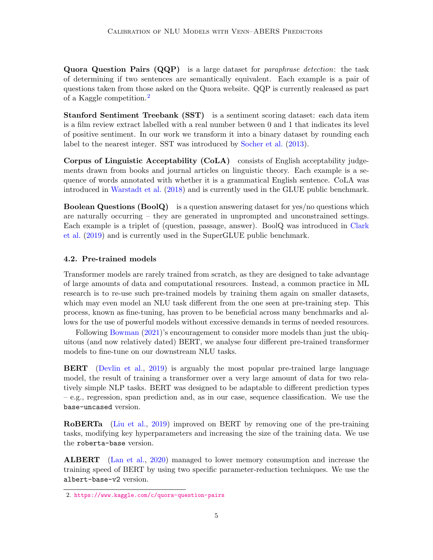Quora Question Pairs (QQP) is a large dataset for *paraphrase detection*: the task of determining if two sentences are semantically equivalent. Each example is a pair of questions taken from those asked on the Quora website. QQP is currently realeased as part of a Kaggle competition.<sup>[2](#page-4-0)</sup>

Stanford Sentiment Treebank (SST) is a sentiment scoring dataset: each data item is a film review extract labelled with a real number between 0 and 1 that indicates its level of positive sentiment. In our work we transform it into a binary dataset by rounding each label to the nearest integer. SST was introduced by [Socher et al.](#page-14-7) [\(2013\)](#page-14-7).

Corpus of Linguistic Acceptability (CoLA) consists of English acceptability judgements drawn from books and journal articles on linguistic theory. Each example is a sequence of words annotated with whether it is a grammatical English sentence. CoLA was introduced in [Warstadt et al.](#page-15-5) [\(2018\)](#page-15-5) and is currently used in the GLUE public benchmark.

Boolean Questions (BoolQ) is a question answering dataset for yes/no questions which are naturally occurring – they are generated in unprompted and unconstrained settings. Each example is a triplet of (question, passage, answer). BoolQ was introduced in [Clark](#page-12-7) [et al.](#page-12-7) [\(2019\)](#page-12-7) and is currently used in the SuperGLUE public benchmark.

## 4.2. Pre-trained models

Transformer models are rarely trained from scratch, as they are designed to take advantage of large amounts of data and computational resources. Instead, a common practice in ML research is to re-use such pre-trained models by training them again on smaller datasets, which may even model an NLU task different from the one seen at pre-training step. This process, known as fine-tuning, has proven to be beneficial across many benchmarks and allows for the use of powerful models without excessive demands in terms of needed resources.

Following [Bowman](#page-10-0) [\(2021\)](#page-10-0)'s encouragement to consider more models than just the ubiquitous (and now relatively dated) BERT, we analyse four different pre-trained transformer models to fine-tune on our downstream NLU tasks.

BERT [\(Devlin et al.,](#page-12-8) [2019\)](#page-12-8) is arguably the most popular pre-trained large language model, the result of training a transformer over a very large amount of data for two relatively simple NLP tasks. BERT was designed to be adaptable to different prediction types – e.g., regression, span prediction and, as in our case, sequence classification. We use the base-uncased version.

RoBERTa [\(Liu et al.,](#page-13-3) [2019\)](#page-13-3) improved on BERT by removing one of the pre-training tasks, modifying key hyperparameters and increasing the size of the training data. We use the roberta-base version.

ALBERT [\(Lan et al.,](#page-13-4) [2020\)](#page-13-4) managed to lower memory consumption and increase the training speed of BERT by using two specific parameter-reduction techniques. We use the albert-base-v2 version.

<span id="page-4-0"></span><sup>2.</sup> <https://www.kaggle.com/c/quora-question-pairs>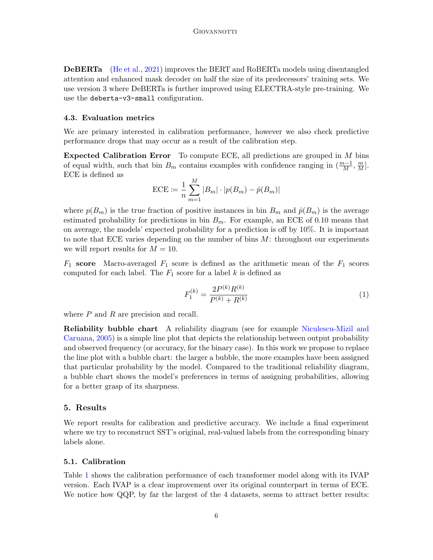DeBERTa [\(He et al.,](#page-13-5) [2021\)](#page-13-5) improves the BERT and RoBERTa models using disentangled attention and enhanced mask decoder on half the size of its predecessors' training sets. We use version 3 where DeBERTa is further improved using ELECTRA-style pre-training. We use the deberta-v3-small configuration.

#### 4.3. Evaluation metrics

We are primary interested in calibration performance, however we also check predictive performance drops that may occur as a result of the calibration step.

Expected Calibration Error To compute ECE, all predictions are grouped in M bins of equal width, such that bin  $B_m$  contains examples with confidence ranging in  $(\frac{m-1}{M}, \frac{m}{M}]$ . ECE is defined as

ECE := 
$$
\frac{1}{n} \sum_{m=1}^{M} |B_m| \cdot |p(B_m) - \hat{p}(B_m)|
$$

where  $p(B_m)$  is the true fraction of positive instances in bin  $B_m$  and  $\hat{p}(B_m)$  is the average estimated probability for predictions in bin  $B_m$ . For example, an ECE of 0.10 means that on average, the models' expected probability for a prediction is off by 10%. It is important to note that ECE varies depending on the number of bins  $M$ : throughout our experiments we will report results for  $M = 10$ .

 $F_1$  score Macro-averaged  $F_1$  score is defined as the arithmetic mean of the  $F_1$  scores computed for each label. The  $F_1$  score for a label k is defined as

$$
F_1^{(k)} = \frac{2P^{(k)}R^{(k)}}{P^{(k)} + R^{(k)}}\tag{1}
$$

where  $P$  and  $R$  are precision and recall.

Reliability bubble chart A reliability diagram (see for example [Niculescu-Mizil and](#page-14-8) [Caruana,](#page-14-8) [2005\)](#page-14-8) is a simple line plot that depicts the relationship between output probability and observed frequency (or accuracy, for the binary case). In this work we propose to replace the line plot with a bubble chart: the larger a bubble, the more examples have been assigned that particular probability by the model. Compared to the traditional reliability diagram, a bubble chart shows the model's preferences in terms of assigning probabilities, allowing for a better grasp of its sharpness.

## 5. Results

We report results for calibration and predictive accuracy. We include a final experiment where we try to reconstruct SST's original, real-valued labels from the corresponding binary labels alone.

#### 5.1. Calibration

Table [1](#page-6-0) shows the calibration performance of each transformer model along with its IVAP version. Each IVAP is a clear improvement over its original counterpart in terms of ECE. We notice how QQP, by far the largest of the 4 datasets, seems to attract better results: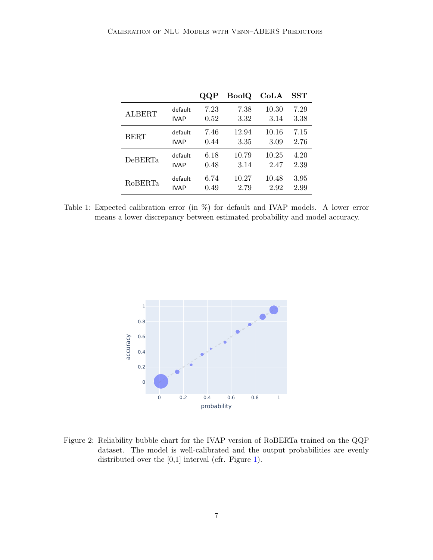|                |             | QQP  | BoolQ | CoLA  | $\operatorname{SST}$ |
|----------------|-------------|------|-------|-------|----------------------|
| <b>ALBERT</b>  | default     | 7.23 | 7.38  | 10.30 | 7.29                 |
|                | <b>IVAP</b> | 0.52 | 3.32  | 3.14  | 3.38                 |
| <b>BERT</b>    | default     | 7.46 | 12.94 | 10.16 | 7.15                 |
|                | <b>IVAP</b> | 0.44 | 3.35  | 3.09  | 2.76                 |
| DeBERTa        | default     | 6.18 | 10.79 | 10.25 | 4.20                 |
|                | <b>IVAP</b> | 0.48 | 3.14  | 2.47  | 2.39                 |
| <b>RoBERTa</b> | default     | 6.74 | 10.27 | 10.48 | $3.95\,$             |
|                | <b>IVAP</b> | 0.49 | 2.79  | 2.92  | 2.99                 |

<span id="page-6-0"></span>Table 1: Expected calibration error (in %) for default and IVAP models. A lower error means a lower discrepancy between estimated probability and model accuracy.



<span id="page-6-1"></span>Figure 2: Reliability bubble chart for the IVAP version of RoBERTa trained on the QQP dataset. The model is well-calibrated and the output probabilities are evenly distributed over the [0,1] interval (cfr. Figure [1\)](#page-1-0).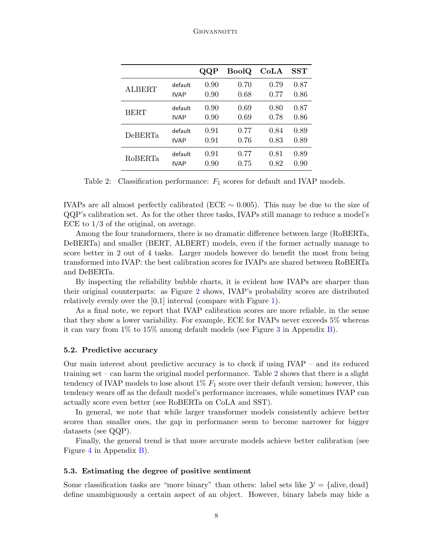|                |             | QQP  | <b>BoolQ</b> | CoLA | SST  |
|----------------|-------------|------|--------------|------|------|
| <b>ALBERT</b>  | default     | 0.90 | 0.70         | 0.79 | 0.87 |
|                | <b>IVAP</b> | 0.90 | 0.68         | 0.77 | 0.86 |
| <b>BERT</b>    | default     | 0.90 | 0.69         | 0.80 | 0.87 |
|                | <b>IVAP</b> | 0.90 | 0.69         | 0.78 | 0.86 |
| <b>DeBERTa</b> | default     | 0.91 | 0.77         | 0.84 | 0.89 |
|                | <b>IVAP</b> | 0.91 | 0.76         | 0.83 | 0.89 |
| <b>RoBERTa</b> | default     | 0.91 | 0.77         | 0.81 | 0.89 |
|                | <b>IVAP</b> | 0.90 | 0.75         | 0.82 | 0.90 |

<span id="page-7-0"></span>Table 2: Classification performance:  $F_1$  scores for default and IVAP models.

IVAPs are all almost perfectly calibrated (ECE  $\sim$  0.005). This may be due to the size of QQP's calibration set. As for the other three tasks, IVAPs still manage to reduce a model's ECE to 1/3 of the original, on average.

Among the four transformers, there is no dramatic difference between large (RoBERTa, DeBERTa) and smaller (BERT, ALBERT) models, even if the former actually manage to score better in 2 out of 4 tasks. Larger models however do benefit the most from being transformed into IVAP: the best calibration scores for IVAPs are shared between RoBERTa and DeBERTa.

By inspecting the reliability bubble charts, it is evident how IVAPs are sharper than their original counterparts: as Figure [2](#page-6-1) shows, IVAP's probability scores are distributed relatively evenly over the [0,1] interval (compare with Figure [1\)](#page-1-0).

As a final note, we report that IVAP calibration scores are more reliable, in the sense that they show a lower variability. For example, ECE for IVAPs never exceeds 5% whereas it can vary from 1% to 15% among default models (see Figure [3](#page-10-1) in Appendix [B\)](#page-10-2).

#### 5.2. Predictive accuracy

Our main interest about predictive accuracy is to check if using IVAP – and its reduced training set – can harm the original model performance. Table [2](#page-7-0) shows that there is a slight tendency of IVAP models to lose about  $1\%$   $F_1$  score over their default version; however, this tendency wears off as the default model's performance increases, while sometimes IVAP can actually score even better (see RoBERTa on CoLA and SST).

In general, we note that while larger transformer models consistently achieve better scores than smaller ones, the gap in performance seem to become narrower for bigger datasets (see QQP).

Finally, the general trend is that more accurate models achieve better calibration (see Figure [4](#page-11-0) in Appendix [B\)](#page-10-2).

#### 5.3. Estimating the degree of positive sentiment

Some classification tasks are "more binary" than others: label sets like  $\mathcal{Y} = \{\text{alive}, \text{dead}\}\$ define unambiguously a certain aspect of an object. However, binary labels may hide a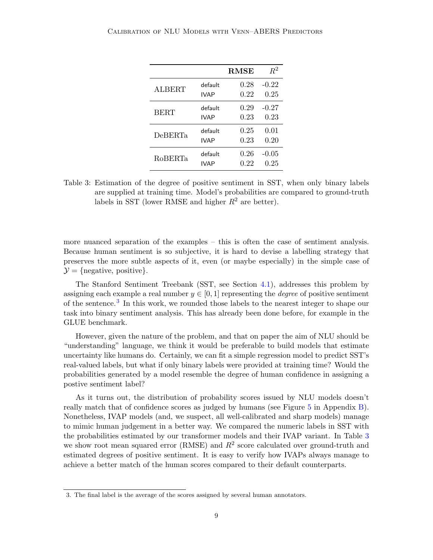|                |             | <b>RMSE</b> | $R^2$   |
|----------------|-------------|-------------|---------|
| <b>ALBERT</b>  | default     | 0.28        | $-0.22$ |
|                | <b>IVAP</b> | 0.22        | 0.25    |
| <b>BERT</b>    | default     | 0.29        | $-0.27$ |
|                | <b>IVAP</b> | 0.23        | 0.23    |
| <b>DeBERTa</b> | default     | 0.25        | 0.01    |
|                | <b>IVAP</b> | 0.23        | 0.20    |
| RoBERTa        | default     | 0.26        | $-0.05$ |
|                | IVAP        | 0.22        | 0.25    |

<span id="page-8-1"></span>Table 3: Estimation of the degree of positive sentiment in SST, when only binary labels are supplied at training time. Model's probabilities are compared to ground-truth labels in SST (lower RMSE and higher  $R^2$  are better).

more nuanced separation of the examples – this is often the case of sentiment analysis. Because human sentiment is so subjective, it is hard to devise a labelling strategy that preserves the more subtle aspects of it, even (or maybe especially) in the simple case of  $\mathcal{Y} = \{$  negative, positive}.

The Stanford Sentiment Treebank (SST, see Section [4.1\)](#page-3-1), addresses this problem by assigning each example a real number  $y \in [0, 1]$  representing the *degree* of positive sentiment of the sentence.<sup>[3](#page-8-0)</sup> In this work, we rounded those labels to the nearest integer to shape our task into binary sentiment analysis. This has already been done before, for example in the GLUE benchmark.

However, given the nature of the problem, and that on paper the aim of NLU should be "understanding" language, we think it would be preferable to build models that estimate uncertainty like humans do. Certainly, we can fit a simple regression model to predict SST's real-valued labels, but what if only binary labels were provided at training time? Would the probabilities generated by a model resemble the degree of human confidence in assigning a postive sentiment label?

As it turns out, the distribution of probability scores issued by NLU models doesn't really match that of confidence scores as judged by humans (see Figure [5](#page-11-1) in Appendix [B\)](#page-10-2). Nonetheless, IVAP models (and, we suspect, all well-calibrated and sharp models) manage to mimic human judgement in a better way. We compared the numeric labels in SST with the probabilities estimated by our transformer models and their IVAP variant. In Table [3](#page-8-1) we show root mean squared error (RMSE) and  $R^2$  score calculated over ground-truth and estimated degrees of positive sentiment. It is easy to verify how IVAPs always manage to achieve a better match of the human scores compared to their default counterparts.

<span id="page-8-0"></span><sup>3.</sup> The final label is the average of the scores assigned by several human annotators.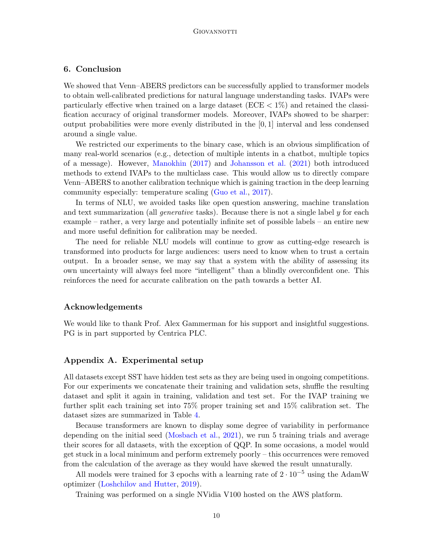# 6. Conclusion

We showed that Venn–ABERS predictors can be successfully applied to transformer models to obtain well-calibrated predictions for natural language understanding tasks. IVAPs were particularly effective when trained on a large dataset  $(ECE < 1\%)$  and retained the classification accuracy of original transformer models. Moreover, IVAPs showed to be sharper: output probabilities were more evenly distributed in the [0, 1] interval and less condensed around a single value.

We restricted our experiments to the binary case, which is an obvious simplification of many real-world scenarios (e.g., detection of multiple intents in a chatbot, multiple topics of a message). However, [Manokhin](#page-13-6) [\(2017\)](#page-13-6) and [Johansson et al.](#page-13-7) [\(2021\)](#page-13-7) both introduced methods to extend IVAPs to the multiclass case. This would allow us to directly compare Venn–ABERS to another calibration technique which is gaining traction in the deep learning community especially: temperature scaling [\(Guo et al.,](#page-13-0) [2017\)](#page-13-0).

In terms of NLU, we avoided tasks like open question answering, machine translation and text summarization (all *generative* tasks). Because there is not a single label y for each example – rather, a very large and potentially infinite set of possible labels – an entire new and more useful definition for calibration may be needed.

The need for reliable NLU models will continue to grow as cutting-edge research is transformed into products for large audiences: users need to know when to trust a certain output. In a broader sense, we may say that a system with the ability of assessing its own uncertainty will always feel more "intelligent" than a blindly overconfident one. This reinforces the need for accurate calibration on the path towards a better AI.

## Acknowledgements

We would like to thank Prof. Alex Gammerman for his support and insightful suggestions. PG is in part supported by Centrica PLC.

## <span id="page-9-0"></span>Appendix A. Experimental setup

All datasets except SST have hidden test sets as they are being used in ongoing competitions. For our experiments we concatenate their training and validation sets, shuffle the resulting dataset and split it again in training, validation and test set. For the IVAP training we further split each training set into 75% proper training set and 15% calibration set. The dataset sizes are summarized in Table [4.](#page-10-3)

Because transformers are known to display some degree of variability in performance depending on the initial seed [\(Mosbach et al.,](#page-14-9) [2021\)](#page-14-9), we run 5 training trials and average their scores for all datasets, with the exception of QQP. In some occasions, a model would get stuck in a local minimum and perform extremely poorly – this occurrences were removed from the calculation of the average as they would have skewed the result unnaturally.

All models were trained for 3 epochs with a learning rate of  $2 \cdot 10^{-5}$  using the AdamW optimizer [\(Loshchilov and Hutter,](#page-13-8) [2019\)](#page-13-8).

Training was performed on a single NVidia V100 hosted on the AWS platform.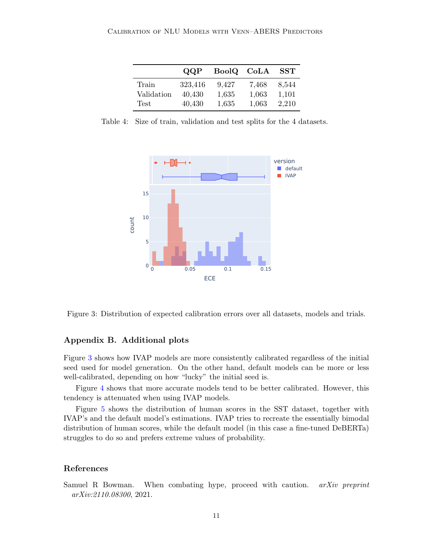|            | QQP     | BoolQ CoLA |       | SST   |
|------------|---------|------------|-------|-------|
| Train      | 323,416 | 9.427      | 7,468 | 8,544 |
| Validation | 40.430  | 1,635      | 1,063 | 1,101 |
| Test       | 40,430  | 1,635      | 1.063 | 2,210 |

<span id="page-10-3"></span>Table 4: Size of train, validation and test splits for the 4 datasets.



<span id="page-10-1"></span>Figure 3: Distribution of expected calibration errors over all datasets, models and trials.

## <span id="page-10-2"></span>Appendix B. Additional plots

Figure [3](#page-10-1) shows how IVAP models are more consistently calibrated regardless of the initial seed used for model generation. On the other hand, default models can be more or less well-calibrated, depending on how "lucky" the initial seed is.

Figure [4](#page-11-0) shows that more accurate models tend to be better calibrated. However, this tendency is attenuated when using IVAP models.

Figure [5](#page-11-1) shows the distribution of human scores in the SST dataset, together with IVAP's and the default model's estimations. IVAP tries to recreate the essentially bimodal distribution of human scores, while the default model (in this case a fine-tuned DeBERTa) struggles to do so and prefers extreme values of probability.

## References

<span id="page-10-0"></span>Samuel R Bowman. When combating hype, proceed with caution. *arXiv preprint* arXiv:2110.08300, 2021.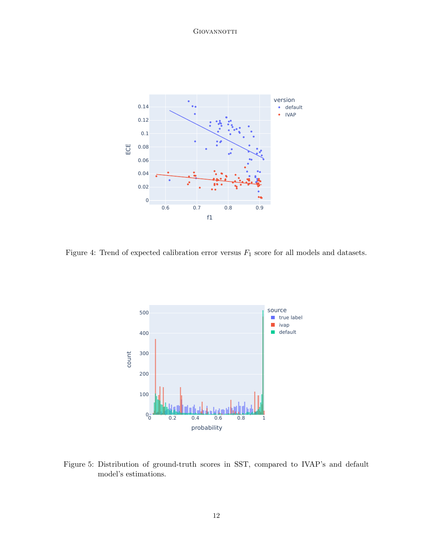

<span id="page-11-0"></span>Figure 4: Trend of expected calibration error versus  $F_1$  score for all models and datasets.



<span id="page-11-1"></span>Figure 5: Distribution of ground-truth scores in SST, compared to IVAP's and default model's estimations.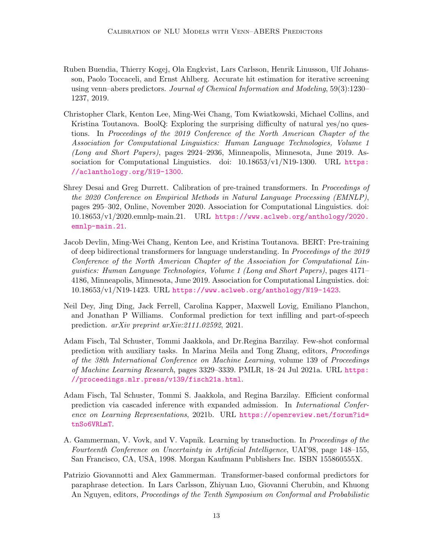- <span id="page-12-6"></span>Ruben Buendia, Thierry Kogej, Ola Engkvist, Lars Carlsson, Henrik Linusson, Ulf Johansson, Paolo Toccaceli, and Ernst Ahlberg. Accurate hit estimation for iterative screening using venn–abers predictors. Journal of Chemical Information and Modeling, 59(3):1230– 1237, 2019.
- <span id="page-12-7"></span>Christopher Clark, Kenton Lee, Ming-Wei Chang, Tom Kwiatkowski, Michael Collins, and Kristina Toutanova. BoolQ: Exploring the surprising difficulty of natural yes/no questions. In Proceedings of the 2019 Conference of the North American Chapter of the Association for Computational Linguistics: Human Language Technologies, Volume 1 (Long and Short Papers), pages 2924–2936, Minneapolis, Minnesota, June 2019. Association for Computational Linguistics. doi: 10.18653/v1/N19-1300. URL [https:](https://aclanthology.org/N19-1300) [//aclanthology.org/N19-1300](https://aclanthology.org/N19-1300).
- <span id="page-12-1"></span>Shrey Desai and Greg Durrett. Calibration of pre-trained transformers. In Proceedings of the 2020 Conference on Empirical Methods in Natural Language Processing (EMNLP), pages 295–302, Online, November 2020. Association for Computational Linguistics. doi: 10.18653/v1/2020.emnlp-main.21. URL [https://www.aclweb.org/anthology/2020.](https://www.aclweb.org/anthology/2020.emnlp-main.21) [emnlp-main.21](https://www.aclweb.org/anthology/2020.emnlp-main.21).
- <span id="page-12-8"></span>Jacob Devlin, Ming-Wei Chang, Kenton Lee, and Kristina Toutanova. BERT: Pre-training of deep bidirectional transformers for language understanding. In Proceedings of the 2019 Conference of the North American Chapter of the Association for Computational Linguistics: Human Language Technologies, Volume 1 (Long and Short Papers), pages 4171– 4186, Minneapolis, Minnesota, June 2019. Association for Computational Linguistics. doi: 10.18653/v1/N19-1423. URL <https://www.aclweb.org/anthology/N19-1423>.
- <span id="page-12-3"></span>Neil Dey, Jing Ding, Jack Ferrell, Carolina Kapper, Maxwell Lovig, Emiliano Planchon, and Jonathan P Williams. Conformal prediction for text infilling and part-of-speech prediction. arXiv preprint arXiv:2111.02592, 2021.
- <span id="page-12-4"></span>Adam Fisch, Tal Schuster, Tommi Jaakkola, and Dr.Regina Barzilay. Few-shot conformal prediction with auxiliary tasks. In Marina Meila and Tong Zhang, editors, Proceedings of the 38th International Conference on Machine Learning, volume 139 of Proceedings of Machine Learning Research, pages 3329–3339. PMLR, 18–24 Jul 2021a. URL [https:](https://proceedings.mlr.press/v139/fisch21a.html) [//proceedings.mlr.press/v139/fisch21a.html](https://proceedings.mlr.press/v139/fisch21a.html).
- <span id="page-12-5"></span>Adam Fisch, Tal Schuster, Tommi S. Jaakkola, and Regina Barzilay. Efficient conformal prediction via cascaded inference with expanded admission. In International Conference on Learning Representations, 2021b. URL [https://openreview.net/forum?id=](https://openreview.net/forum?id=tnSo6VRLmT) [tnSo6VRLmT](https://openreview.net/forum?id=tnSo6VRLmT).
- <span id="page-12-0"></span>A. Gammerman, V. Vovk, and V. Vapnik. Learning by transduction. In Proceedings of the Fourteenth Conference on Uncertainty in Artificial Intelligence, UAI'98, page 148–155, San Francisco, CA, USA, 1998. Morgan Kaufmann Publishers Inc. ISBN 155860555X.
- <span id="page-12-2"></span>Patrizio Giovannotti and Alex Gammerman. Transformer-based conformal predictors for paraphrase detection. In Lars Carlsson, Zhiyuan Luo, Giovanni Cherubin, and Khuong An Nguyen, editors, Proceedings of the Tenth Symposium on Conformal and Probabilistic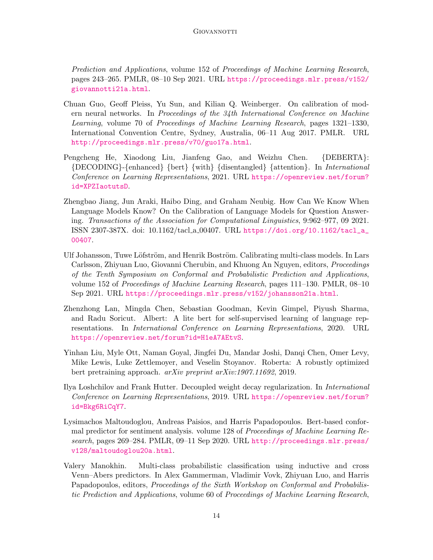Prediction and Applications, volume 152 of Proceedings of Machine Learning Research, pages 243–265. PMLR, 08–10 Sep 2021. URL [https://proceedings.mlr.press/v152/](https://proceedings.mlr.press/v152/giovannotti21a.html) [giovannotti21a.html](https://proceedings.mlr.press/v152/giovannotti21a.html).

- <span id="page-13-0"></span>Chuan Guo, Geoff Pleiss, Yu Sun, and Kilian Q. Weinberger. On calibration of modern neural networks. In Proceedings of the 34th International Conference on Machine Learning, volume 70 of Proceedings of Machine Learning Research, pages 1321–1330, International Convention Centre, Sydney, Australia, 06–11 Aug 2017. PMLR. URL <http://proceedings.mlr.press/v70/guo17a.html>.
- <span id="page-13-5"></span>Pengcheng He, Xiaodong Liu, Jianfeng Gao, and Weizhu Chen. {DEBERTA}: {DECODING}-{enhanced} {bert} {with} {disentangled} {attention}. In International Conference on Learning Representations, 2021. URL [https://openreview.net/forum?](https://openreview.net/forum?id=XPZIaotutsD) [id=XPZIaotutsD](https://openreview.net/forum?id=XPZIaotutsD).
- <span id="page-13-1"></span>Zhengbao Jiang, Jun Araki, Haibo Ding, and Graham Neubig. How Can We Know When Language Models Know? On the Calibration of Language Models for Question Answering. Transactions of the Association for Computational Linguistics, 9:962–977, 09 2021. ISSN 2307-387X. doi: 10.1162/tacl a 00407. URL [https://doi.org/10.1162/tacl\\_a\\_](https://doi.org/10.1162/tacl_a_00407) [00407](https://doi.org/10.1162/tacl_a_00407).
- <span id="page-13-7"></span>Ulf Johansson, Tuwe Löfström, and Henrik Boström. Calibrating multi-class models. In Lars Carlsson, Zhiyuan Luo, Giovanni Cherubin, and Khuong An Nguyen, editors, Proceedings of the Tenth Symposium on Conformal and Probabilistic Prediction and Applications, volume 152 of Proceedings of Machine Learning Research, pages 111–130. PMLR, 08–10 Sep 2021. URL <https://proceedings.mlr.press/v152/johansson21a.html>.
- <span id="page-13-4"></span>Zhenzhong Lan, Mingda Chen, Sebastian Goodman, Kevin Gimpel, Piyush Sharma, and Radu Soricut. Albert: A lite bert for self-supervised learning of language representations. In International Conference on Learning Representations, 2020. URL <https://openreview.net/forum?id=H1eA7AEtvS>.
- <span id="page-13-3"></span>Yinhan Liu, Myle Ott, Naman Goyal, Jingfei Du, Mandar Joshi, Danqi Chen, Omer Levy, Mike Lewis, Luke Zettlemoyer, and Veselin Stoyanov. Roberta: A robustly optimized bert pretraining approach. arXiv preprint arXiv:1907.11692, 2019.
- <span id="page-13-8"></span>Ilya Loshchilov and Frank Hutter. Decoupled weight decay regularization. In International Conference on Learning Representations, 2019. URL [https://openreview.net/forum?](https://openreview.net/forum?id=Bkg6RiCqY7) [id=Bkg6RiCqY7](https://openreview.net/forum?id=Bkg6RiCqY7).
- <span id="page-13-2"></span>Lysimachos Maltoudoglou, Andreas Paisios, and Harris Papadopoulos. Bert-based conformal predictor for sentiment analysis. volume 128 of Proceedings of Machine Learning Research, pages 269–284. PMLR, 09–11 Sep 2020. URL [http://proceedings.mlr.press/](http://proceedings.mlr.press/v128/maltoudoglou20a.html) [v128/maltoudoglou20a.html](http://proceedings.mlr.press/v128/maltoudoglou20a.html).
- <span id="page-13-6"></span>Valery Manokhin. Multi-class probabilistic classification using inductive and cross Venn–Abers predictors. In Alex Gammerman, Vladimir Vovk, Zhiyuan Luo, and Harris Papadopoulos, editors, Proceedings of the Sixth Workshop on Conformal and Probabilistic Prediction and Applications, volume 60 of Proceedings of Machine Learning Research,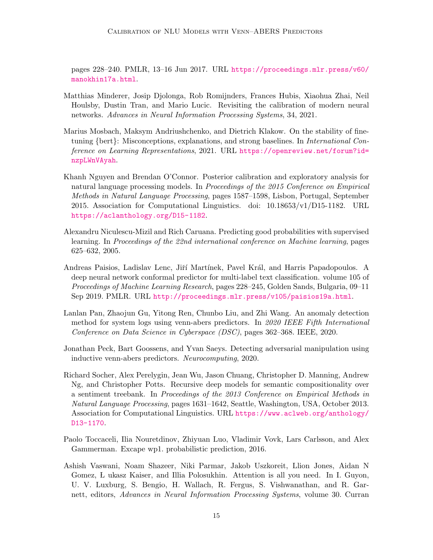pages 228–240. PMLR, 13–16 Jun 2017. URL [https://proceedings.mlr.press/v60/](https://proceedings.mlr.press/v60/manokhin17a.html) [manokhin17a.html](https://proceedings.mlr.press/v60/manokhin17a.html).

- <span id="page-14-2"></span>Matthias Minderer, Josip Djolonga, Rob Romijnders, Frances Hubis, Xiaohua Zhai, Neil Houlsby, Dustin Tran, and Mario Lucic. Revisiting the calibration of modern neural networks. Advances in Neural Information Processing Systems, 34, 2021.
- <span id="page-14-9"></span>Marius Mosbach, Maksym Andriushchenko, and Dietrich Klakow. On the stability of finetuning {bert}: Misconceptions, explanations, and strong baselines. In International Conference on Learning Representations, 2021. URL [https://openreview.net/forum?id=](https://openreview.net/forum?id=nzpLWnVAyah) [nzpLWnVAyah](https://openreview.net/forum?id=nzpLWnVAyah).
- <span id="page-14-1"></span>Khanh Nguyen and Brendan O'Connor. Posterior calibration and exploratory analysis for natural language processing models. In Proceedings of the 2015 Conference on Empirical Methods in Natural Language Processing, pages 1587–1598, Lisbon, Portugal, September 2015. Association for Computational Linguistics. doi: 10.18653/v1/D15-1182. URL <https://aclanthology.org/D15-1182>.
- <span id="page-14-8"></span>Alexandru Niculescu-Mizil and Rich Caruana. Predicting good probabilities with supervised learning. In Proceedings of the 22nd international conference on Machine learning, pages 625–632, 2005.
- <span id="page-14-3"></span>Andreas Paisios, Ladislav Lenc, Jiří Martínek, Pavel Král, and Harris Papadopoulos. A deep neural network conformal predictor for multi-label text classification. volume 105 of Proceedings of Machine Learning Research, pages 228–245, Golden Sands, Bulgaria, 09–11 Sep 2019. PMLR. URL <http://proceedings.mlr.press/v105/paisios19a.html>.
- <span id="page-14-6"></span>Lanlan Pan, Zhaojun Gu, Yitong Ren, Chunbo Liu, and Zhi Wang. An anomaly detection method for system logs using venn-abers predictors. In 2020 IEEE Fifth International Conference on Data Science in Cyberspace (DSC), pages 362–368. IEEE, 2020.
- <span id="page-14-5"></span>Jonathan Peck, Bart Goossens, and Yvan Saeys. Detecting adversarial manipulation using inductive venn-abers predictors. Neurocomputing, 2020.
- <span id="page-14-7"></span>Richard Socher, Alex Perelygin, Jean Wu, Jason Chuang, Christopher D. Manning, Andrew Ng, and Christopher Potts. Recursive deep models for semantic compositionality over a sentiment treebank. In Proceedings of the 2013 Conference on Empirical Methods in Natural Language Processing, pages 1631–1642, Seattle, Washington, USA, October 2013. Association for Computational Linguistics. URL [https://www.aclweb.org/anthology/](https://www.aclweb.org/anthology/D13-1170) [D13-1170](https://www.aclweb.org/anthology/D13-1170).
- <span id="page-14-4"></span>Paolo Toccaceli, Ilia Nouretdinov, Zhiyuan Luo, Vladimir Vovk, Lars Carlsson, and Alex Gammerman. Excape wp1. probabilistic prediction, 2016.
- <span id="page-14-0"></span>Ashish Vaswani, Noam Shazeer, Niki Parmar, Jakob Uszkoreit, Llion Jones, Aidan N Gomez, L ukasz Kaiser, and Illia Polosukhin. Attention is all you need. In I. Guyon, U. V. Luxburg, S. Bengio, H. Wallach, R. Fergus, S. Vishwanathan, and R. Garnett, editors, Advances in Neural Information Processing Systems, volume 30. Curran